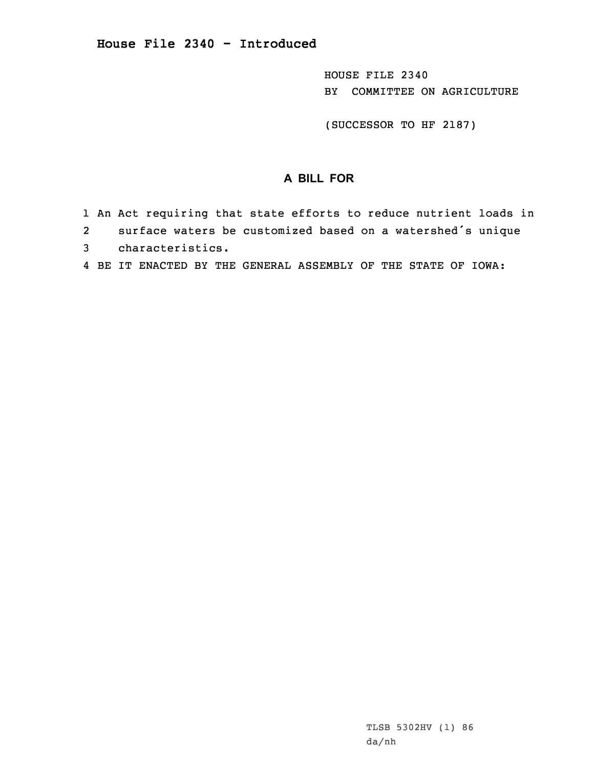HOUSE FILE 2340 BY COMMITTEE ON AGRICULTURE

(SUCCESSOR TO HF 2187)

## **A BILL FOR**

- 1 An Act requiring that state efforts to reduce nutrient loads in 2surface waters be customized based on <sup>a</sup> watershed's unique
- 3 characteristics.
- 4 BE IT ENACTED BY THE GENERAL ASSEMBLY OF THE STATE OF IOWA: